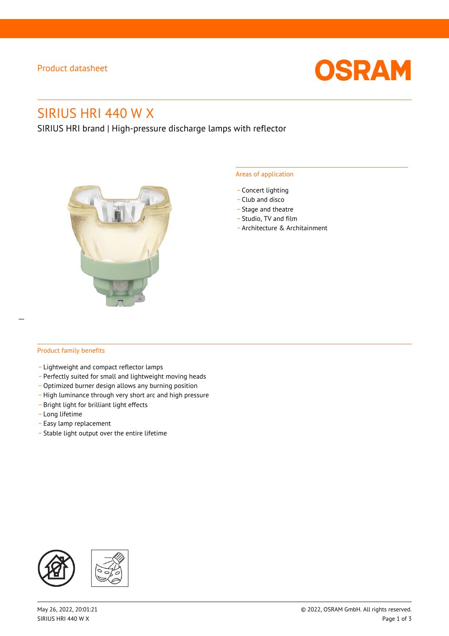## Product datasheet



# SIRIUS HRI 440 W X

SIRIUS HRI brand | High-pressure discharge lamps with reflector



#### Areas of application

- Concert lighting
- \_ Club and disco
- Stage and theatre
- \_ Studio, TV and film
- \_ Architecture & Architainment

## Product family benefits

- \_ Lightweight and compact reflector lamps
- \_ Perfectly suited for small and lightweight moving heads
- Optimized burner design allows any burning position
- High luminance through very short arc and high pressure
- \_ Bright light for brilliant light effects
- \_ Long lifetime
- \_ Easy lamp replacement
- \_ Stable light output over the entire lifetime

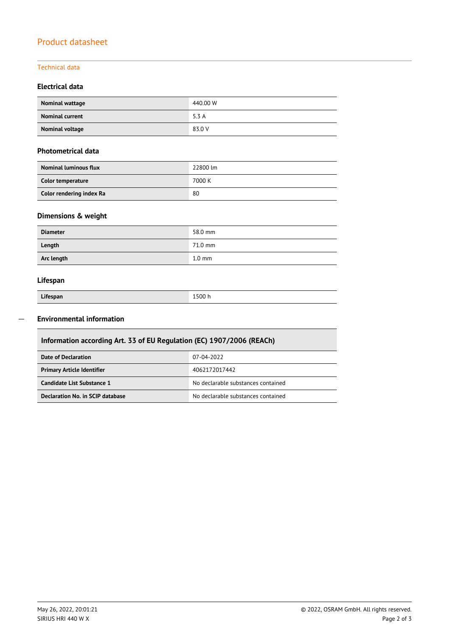## Product datasheet

## Technical data

## **Electrical data**

| Nominal wattage        | 440.00 W |
|------------------------|----------|
| <b>Nominal current</b> | 5.3 A    |
| Nominal voltage        | 83.0 V   |

## **Photometrical data**

| <b>Nominal luminous flux</b> | 22800 lm |
|------------------------------|----------|
| Color temperature            | 7000 K   |
| Color rendering index Ra     | 80       |

## **Dimensions & weight**

| <b>Diameter</b> | 58.0 mm          |
|-----------------|------------------|
| Length          | 71.0 mm          |
| Arc length      | $1.0 \text{ mm}$ |

## **Lifespan**

| Lifespan | 1500 h |
|----------|--------|

#### **Environmental information**  $\overline{\phantom{a}}$

| Information according Art. 33 of EU Regulation (EC) 1907/2006 (REACh) |                                    |  |  |
|-----------------------------------------------------------------------|------------------------------------|--|--|
| Date of Declaration                                                   | 07-04-2022                         |  |  |
| <b>Primary Article Identifier</b>                                     | 4062172017442                      |  |  |
| Candidate List Substance 1                                            | No declarable substances contained |  |  |
| Declaration No. in SCIP database                                      | No declarable substances contained |  |  |